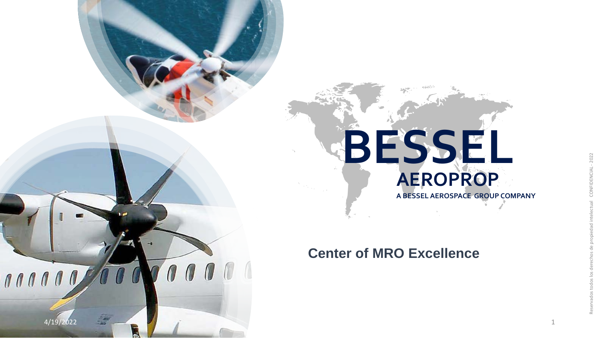

#### **Center of MRO Excellence**

4/19/2022

 $\mathbf{0} \mathbf{0}$ 

 $\omega$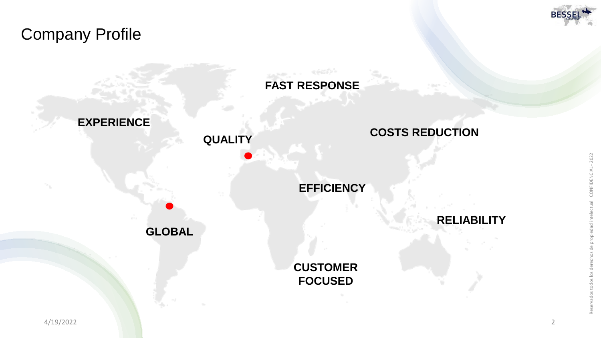### Company Profile



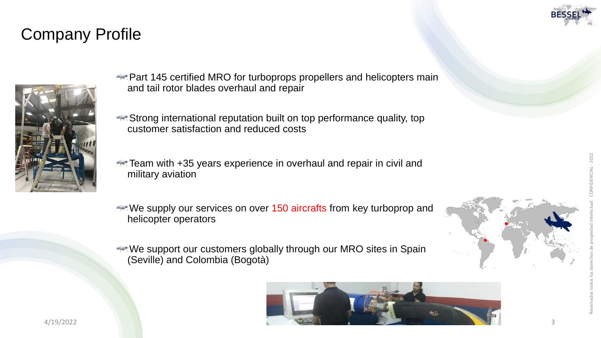## Company Profile



- **Part 145 certified MRO for turboprops propellers and helicopters main** and tail rotor blades overhaul and repair
- **Strong international reputation built on top performance quality, top** customer satisfaction and reduced costs
- **Team with +35 years experience in overhaul and repair in civil and** military aviation
- We supply our services on over 150 aircrafts from key turboprop and helicopter operators
- We support our customers globally through our MRO sites in Spain (Seville) and Colombia (Bogotà)



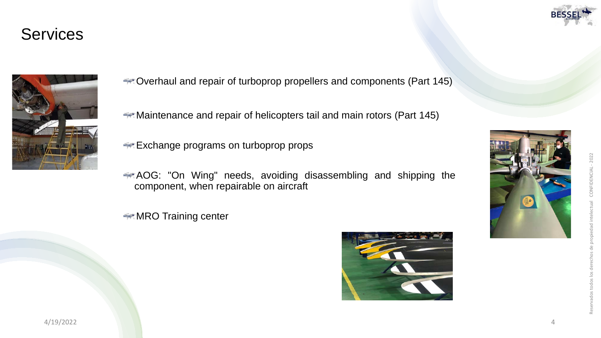#### **Services**



Overhaul and repair of turboprop propellers and components (Part 145 )

Maintenance and repair of helicopters tail and main rotors (Part 145 )

**Exchange programs on turboprop props** 

AOG : "On Wing" needs, avoiding disassembling and shipping the component, when repairable on aircraft

**MRO Training center** 



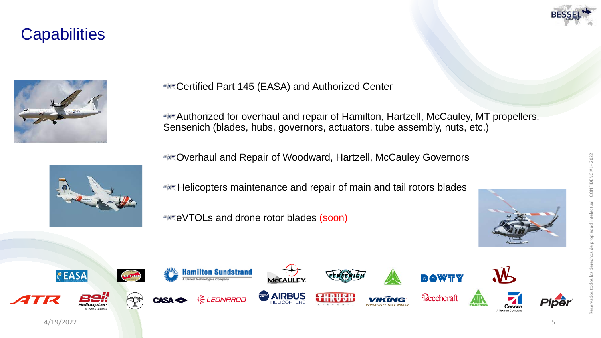#### **Capabilities**





**EXAGE TRIFF Certified Part 145 (EASA) and Authorized Center** 

Authorized for overhaul and repair of Hamilton, Hartzell, McCauley, MT propellers, Sensenich (blades, hubs, governors, actuators, tube assembly, nuts, etc.)

Overhaul and Repair of Woodward, Hartzell, McCauley Governors



**Helicopters maintenance and repair of main and tail rotors blades** 

eVTOLs and drone rotor blades (soon)



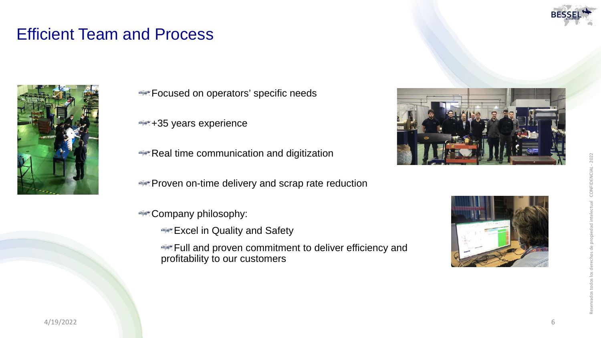### Efficient Team and Process



- **Focused on operators' specific needs**
- +35 years experience
- **Real time communication and digitization**
- **Proven on-time delivery and scrap rate reduction**
- **Company philosophy:** 
	- **Excel in Quality and Safety**
	- **Full and proven commitment to deliver efficiency and** profitability to our customers



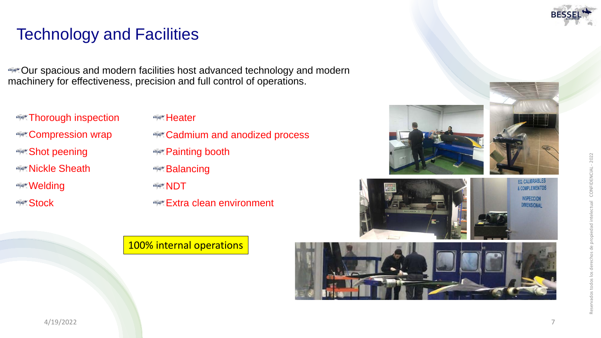# Technology and Facilities

**EXECUT** spacious and modern facilities host advanced technology and modern machinery for effectiveness, precision and full control of operations.

**Example 7 horough inspection Compression wrap Shot peening Nickle Sheath Welding Stock** 

- **Heater**
- **Cadmium and anodized process**
- **Painting booth**
- **Balancing**
- **ARSARY NDT**
- **Extra clean environment**

#### 100% internal operations











#### 4/19/2022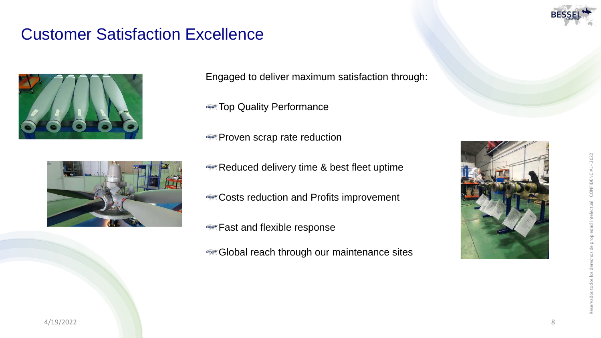#### Customer Satisfaction Excellence



Engaged to deliver maximum satisfaction through:

**Top Quality Performance** 

**Proven scrap rate reduction** 

- Reduced delivery time & best fleet uptime
- **Costs reduction and Profits improvement**
- **Fast and flexible response**
- Global reach through our maintenance sites